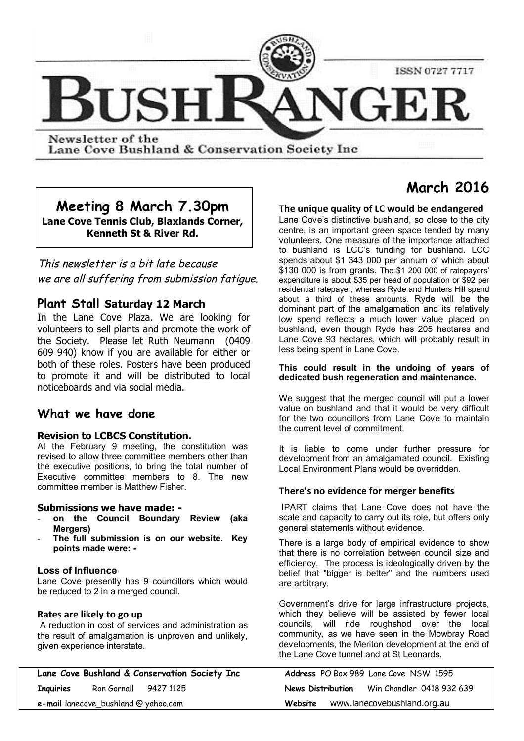

Lane Cove Bushland & Conservation Society Inc.

# **Meeting 8 March 7.30pm Lane Cove Tennis Club, Blaxlands Corner, Kenneth St & River Rd.**

*This newsletter is a bit late because we are all suffering from submission fatigue.*

# **Plant Stall Saturday 12 March**

In the Lane Cove Plaza. We are looking for volunteers to sell plants and promote the work of the Society. Please let Ruth Neumann (0409 609 940) know if you are available for either or both of these roles. Posters have been produced to promote it and will be distributed to local noticeboards and via social media.

# **What we have done**

# **Revision to LCBCS Constitution.**

At the February 9 meeting, the constitution was revised to allow three committee members other than the executive positions, to bring the total number of Executive committee members to 8. The new committee member is Matthew Fisher.

# **Submissions we have made: -**

- **on the Council Boundary Review (aka Mergers)**
- **The full submission is on our website. Key points made were: -**

# **Loss of Influence**

Lane Cove presently has 9 councillors which would be reduced to 2 in a merged council.

# **Rates are likely to go up**

 A reduction in cost of services and administration as the result of amalgamation is unproven and unlikely, given experience interstate.

| Lane Cove Bushland & Conservation Society Inc |                       |  | Address PO Box 989 Lane Cove NSW 1595 |                             |                           |  |
|-----------------------------------------------|-----------------------|--|---------------------------------------|-----------------------------|---------------------------|--|
| Inquiries                                     | Ron Gornall 9427 1125 |  | News Distribution                     |                             | Win Chandler 0418 932 639 |  |
| $e$ -mail lanecove_bushland @ yahoo.com       |                       |  | Website                               | www.lanecovebushland.org.au |                           |  |

# **March 2016**

# **The unique quality of LC would be endangered**

Lane Cove's distinctive bushland, so close to the city centre, is an important green space tended by many volunteers. One measure of the importance attached to bushland is LCC's funding for bushland. LCC spends about \$1 343 000 per annum of which about \$130 000 is from grants. The \$1 200 000 of ratepayers' expenditure is about \$35 per head of population or \$92 per residential ratepayer, whereas Ryde and Hunters Hill spend about a third of these amounts. Ryde will be the dominant part of the amalgamation and its relatively low spend reflects a much lower value placed on bushland, even though Ryde has 205 hectares and Lane Cove 93 hectares, which will probably result in less being spent in Lane Cove.

#### **This could result in the undoing of years of dedicated bush regeneration and maintenance.**

We suggest that the merged council will put a lower value on bushland and that it would be very difficult for the two councillors from Lane Cove to maintain the current level of commitment.

It is liable to come under further pressure for development from an amalgamated council. Existing Local Environment Plans would be overridden.

# **There's no evidence for merger benefits**

 IPART claims that Lane Cove does not have the scale and capacity to carry out its role, but offers only general statements without evidence.

There is a large body of empirical evidence to show that there is no correlation between council size and efficiency. The process is ideologically driven by the belief that "bigger is better" and the numbers used are arbitrary.

Government's drive for large infrastructure projects, which they believe will be assisted by fewer local councils, will ride roughshod over the local community, as we have seen in the Mowbray Road developments, the Meriton development at the end of the Lane Cove tunnel and at St Leonards.

|         |                             | <b>Address</b> PO Box 989 Lane Cove NSW 1595 |  |                                             |  |
|---------|-----------------------------|----------------------------------------------|--|---------------------------------------------|--|
|         |                             |                                              |  | News Distribution Win Chandler 0418 932 639 |  |
| Website | www.lanecovebushland.org.au |                                              |  |                                             |  |